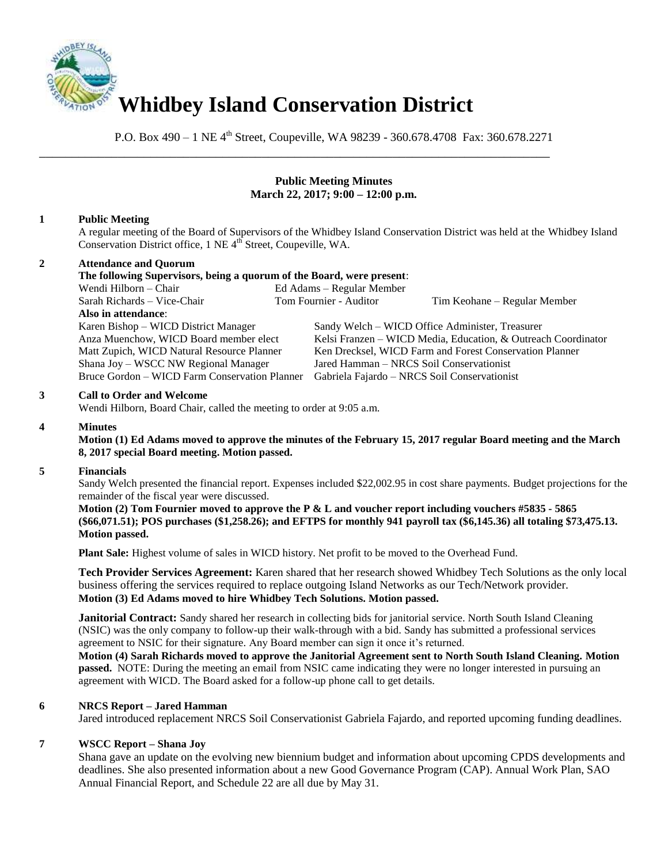

P.O. Box 490 – 1 NE 4<sup>th</sup> Street, Coupeville, WA 98239 - 360.678.4708 Fax: 360.678.2271

\_\_\_\_\_\_\_\_\_\_\_\_\_\_\_\_\_\_\_\_\_\_\_\_\_\_\_\_\_\_\_\_\_\_\_\_\_\_\_\_\_\_\_\_\_\_\_\_\_\_\_\_\_\_\_\_\_\_\_\_\_\_\_\_\_\_\_\_\_\_\_\_\_\_\_\_\_\_

# **Public Meeting Minutes March 22, 2017; 9:00 – 12:00 p.m.**

# **1 Public Meeting**

A regular meeting of the Board of Supervisors of the Whidbey Island Conservation District was held at the Whidbey Island Conservation District office, 1 NE 4<sup>th</sup> Street, Coupeville, WA.

# **2 Attendance and Quorum**

**The following Supervisors, being a quorum of the Board, were present**: Wendi Hilborn – Chair Ed Adams – Regular Member Sarah Richards – Vice-Chair Tom Fournier - Auditor Tim Keohane – Regular Member **Also in attendance**: Karen Bishop – WICD District Manager Sandy Welch – WICD Office Administer, Treasurer Anza Muenchow, WICD Board member elect Kelsi Franzen – WICD Media, Education, & Outreach Coordinator Matt Zupich, WICD Natural Resource Planner Ken Drecksel, WICD Farm and Forest Conservation Planner Shana Joy – WSCC NW Regional Manager Jared Hamman – NRCS Soil Conservationist Bruce Gordon – WICD Farm Conservation Planner Gabriela Fajardo – NRCS Soil Conservationist

## **3 Call to Order and Welcome**

Wendi Hilborn, Board Chair, called the meeting to order at 9:05 a.m.

### **4 Minutes**

**Motion (1) Ed Adams moved to approve the minutes of the February 15, 2017 regular Board meeting and the March 8, 2017 special Board meeting. Motion passed.** 

#### **5 Financials**

Sandy Welch presented the financial report. Expenses included \$22,002.95 in cost share payments. Budget projections for the remainder of the fiscal year were discussed.

**Motion (2) Tom Fournier moved to approve the P & L and voucher report including vouchers #5835 - 5865 (\$66,071.51); POS purchases (\$1,258.26); and EFTPS for monthly 941 payroll tax (\$6,145.36) all totaling \$73,475.13. Motion passed.** 

**Plant Sale:** Highest volume of sales in WICD history. Net profit to be moved to the Overhead Fund.

**Tech Provider Services Agreement:** Karen shared that her research showed Whidbey Tech Solutions as the only local business offering the services required to replace outgoing Island Networks as our Tech/Network provider. **Motion (3) Ed Adams moved to hire Whidbey Tech Solutions. Motion passed.**

**Janitorial Contract:** Sandy shared her research in collecting bids for janitorial service. North South Island Cleaning (NSIC) was the only company to follow-up their walk-through with a bid. Sandy has submitted a professional services agreement to NSIC for their signature. Any Board member can sign it once it's returned.

**Motion (4) Sarah Richards moved to approve the Janitorial Agreement sent to North South Island Cleaning. Motion passed.** NOTE: During the meeting an email from NSIC came indicating they were no longer interested in pursuing an agreement with WICD. The Board asked for a follow-up phone call to get details.

## **6 NRCS Report – Jared Hamman**

Jared introduced replacement NRCS Soil Conservationist Gabriela Fajardo, and reported upcoming funding deadlines.

## **7 WSCC Report – Shana Joy**

Shana gave an update on the evolving new biennium budget and information about upcoming CPDS developments and deadlines. She also presented information about a new Good Governance Program (CAP). Annual Work Plan, SAO Annual Financial Report, and Schedule 22 are all due by May 31.